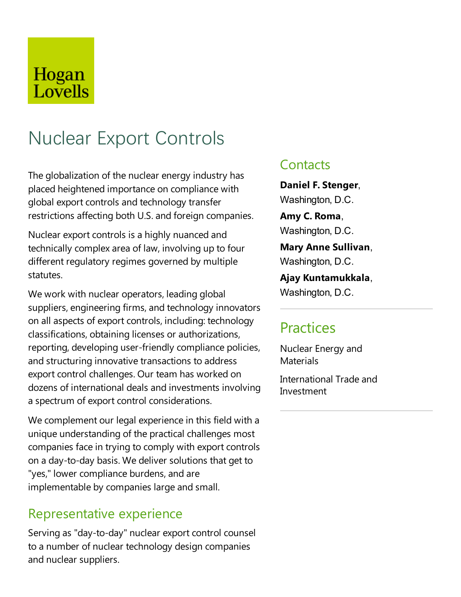## Hogan Lovells

# Nuclear Export Controls

The globalization of the nuclear energy industry has placed heightened importance on compliance with global export controls and technology transfer restrictions affecting both U.S. and foreign companies.

Nuclear export controls is a highly nuanced and technically complex area of law, involving up to four different regulatory regimes governed by multiple statutes.

We work with nuclear operators, leading global suppliers, engineering firms, and technology innovators on all aspects of export controls, including: technology classifications, obtaining licenses or authorizations, reporting, developing user-friendly compliance policies, and structuring innovative transactions to address export control challenges. Our team has worked on dozens of international deals and investments involving a spectrum of export control considerations.

We complement our legal experience in this field with a unique understanding of the practical challenges most companies face in trying to comply with export controls on a day-to-day basis. We deliver solutions that get to "yes," lower compliance burdens, and are implementable by companies large and small.

#### Representative experience

Serving as "day-to-day" nuclear export control counsel to a number of nuclear technology design companies and nuclear suppliers.

#### **Contacts**

**Daniel F. Stenger**, Washington, D.C.

**Amy C. Roma**, Washington, D.C.

**Mary Anne Sullivan**, Washington, D.C.

**Ajay Kuntamukkala**, Washington, D.C.

### **Practices**

Nuclear Energy and **Materials** 

International Trade and Investment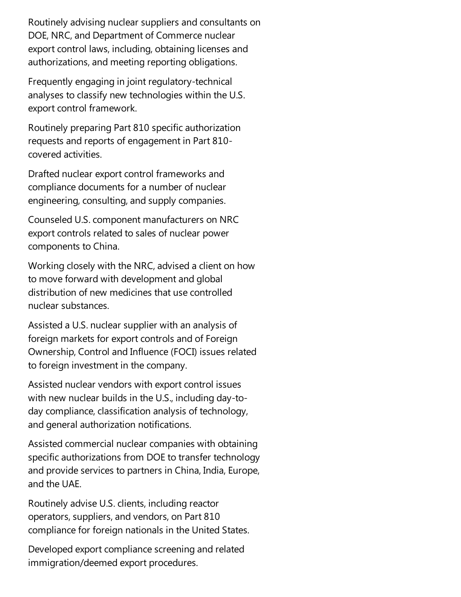Routinely advising nuclear suppliers and consultants on DOE, NRC, and Department of Commerce nuclear export control laws, including, obtaining licenses and authorizations, and meeting reporting obligations.

Frequently engaging in joint regulatory-technical analyses to classify new technologies within the U.S. export control framework.

Routinely preparing Part 810 specific authorization requests and reports of engagement in Part 810covered activities.

Drafted nuclear export control frameworks and compliance documents for a number of nuclear engineering, consulting, and supply companies.

Counseled U.S.component manufacturers on NRC export controls related to sales of nuclear power components to China.

Working closely with the NRC, advised a client on how to move forward with development and global distribution of new medicines that use controlled nuclear substances.

Assisted a U.S. nuclear supplier with an analysis of foreign markets for export controls and of Foreign Ownership, Control and Influence(FOCI) issues related to foreign investment in the company.

Assisted nuclear vendors with export control issues with new nuclear builds in the U.S., including day-today compliance, classification analysis of technology, and general authorization notifications.

Assisted commercial nuclear companies with obtaining specific authorizations from DOE to transfer technology and provide services to partners in China, India, Europe, and the UAE.

Routinely advise U.S. clients, including reactor operators, suppliers, and vendors, on Part 810 compliance for foreign nationals in the United States.

Developed export compliance screening and related immigration/deemed export procedures.